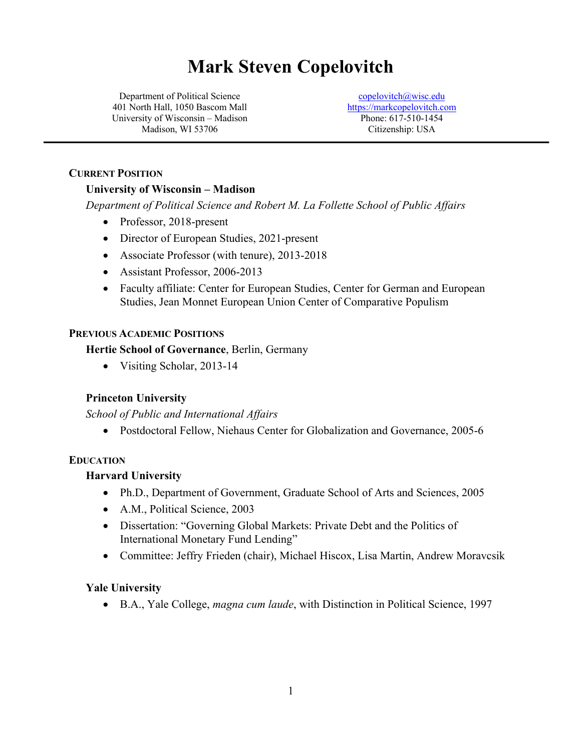# **Mark Steven Copelovitch**

Department of Political Science 401 North Hall, 1050 Bascom Mall University of Wisconsin – Madison Madison, WI 53706

copelovitch@wisc.edu https://markcopelovitch.com Phone: 617-510-1454 Citizenship: USA

#### **CURRENT POSITION**

#### **University of Wisconsin – Madison**

*Department of Political Science and Robert M. La Follette School of Public Affairs*

- Professor, 2018-present
- Director of European Studies, 2021-present
- Associate Professor (with tenure), 2013-2018
- Assistant Professor, 2006-2013
- Faculty affiliate: Center for European Studies, Center for German and European Studies, Jean Monnet European Union Center of Comparative Populism

#### **PREVIOUS ACADEMIC POSITIONS**

**Hertie School of Governance**, Berlin, Germany

• Visiting Scholar, 2013-14

#### **Princeton University**

*School of Public and International Affairs*

• Postdoctoral Fellow, Niehaus Center for Globalization and Governance, 2005-6

#### **EDUCATION**

#### **Harvard University**

- Ph.D., Department of Government, Graduate School of Arts and Sciences, 2005
- A.M., Political Science, 2003
- Dissertation: "Governing Global Markets: Private Debt and the Politics of International Monetary Fund Lending"
- Committee: Jeffry Frieden (chair), Michael Hiscox, Lisa Martin, Andrew Moravcsik

#### **Yale University**

• B.A., Yale College, *magna cum laude*, with Distinction in Political Science, 1997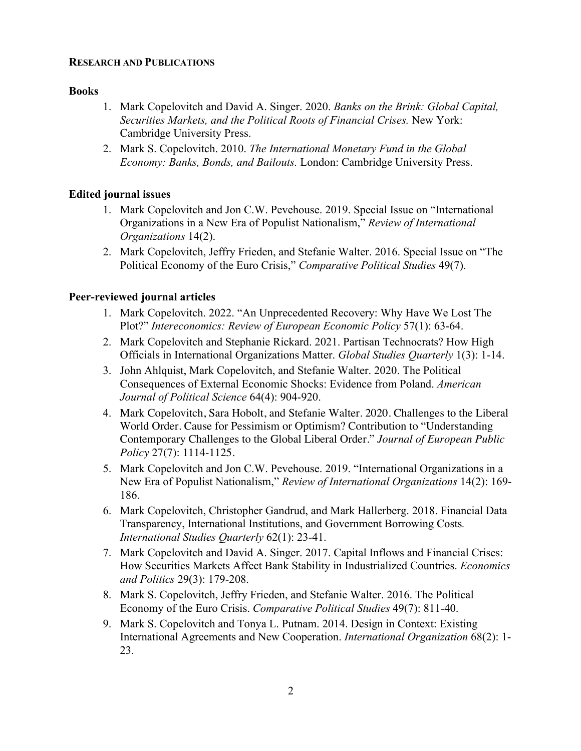#### **RESEARCH AND PUBLICATIONS**

#### **Books**

- 1. Mark Copelovitch and David A. Singer. 2020. *Banks on the Brink: Global Capital, Securities Markets, and the Political Roots of Financial Crises.* New York: Cambridge University Press.
- 2. Mark S. Copelovitch. 2010. *The International Monetary Fund in the Global Economy: Banks, Bonds, and Bailouts.* London: Cambridge University Press.

#### **Edited journal issues**

- 1. Mark Copelovitch and Jon C.W. Pevehouse. 2019. Special Issue on "International Organizations in a New Era of Populist Nationalism," *Review of International Organizations* 14(2).
- 2. Mark Copelovitch, Jeffry Frieden, and Stefanie Walter. 2016. Special Issue on "The Political Economy of the Euro Crisis," *Comparative Political Studies* 49(7).

#### **Peer-reviewed journal articles**

- 1. Mark Copelovitch. 2022. "An Unprecedented Recovery: Why Have We Lost The Plot?" *Intereconomics: Review of European Economic Policy* 57(1): 63-64.
- 2. Mark Copelovitch and Stephanie Rickard. 2021. Partisan Technocrats? How High Officials in International Organizations Matter. *Global Studies Quarterly* 1(3): 1-14.
- 3. John Ahlquist, Mark Copelovitch, and Stefanie Walter. 2020. The Political Consequences of External Economic Shocks: Evidence from Poland. *American Journal of Political Science* 64(4): 904-920.
- 4. Mark Copelovitch, Sara Hobolt, and Stefanie Walter. 2020. Challenges to the Liberal World Order. Cause for Pessimism or Optimism? Contribution to "Understanding Contemporary Challenges to the Global Liberal Order." *Journal of European Public Policy* 27(7): 1114-1125.
- 5. Mark Copelovitch and Jon C.W. Pevehouse. 2019. "International Organizations in a New Era of Populist Nationalism," *Review of International Organizations* 14(2): 169- 186.
- 6. Mark Copelovitch, Christopher Gandrud, and Mark Hallerberg. 2018. Financial Data Transparency, International Institutions, and Government Borrowing Costs*. International Studies Quarterly* 62(1): 23-41.
- 7. Mark Copelovitch and David A. Singer. 2017. Capital Inflows and Financial Crises: How Securities Markets Affect Bank Stability in Industrialized Countries. *Economics and Politics* 29(3): 179-208.
- 8. Mark S. Copelovitch, Jeffry Frieden, and Stefanie Walter. 2016. The Political Economy of the Euro Crisis. *Comparative Political Studies* 49(7): 811-40.
- 9. Mark S. Copelovitch and Tonya L. Putnam. 2014. Design in Context: Existing International Agreements and New Cooperation. *International Organization* 68(2): 1- 23*.*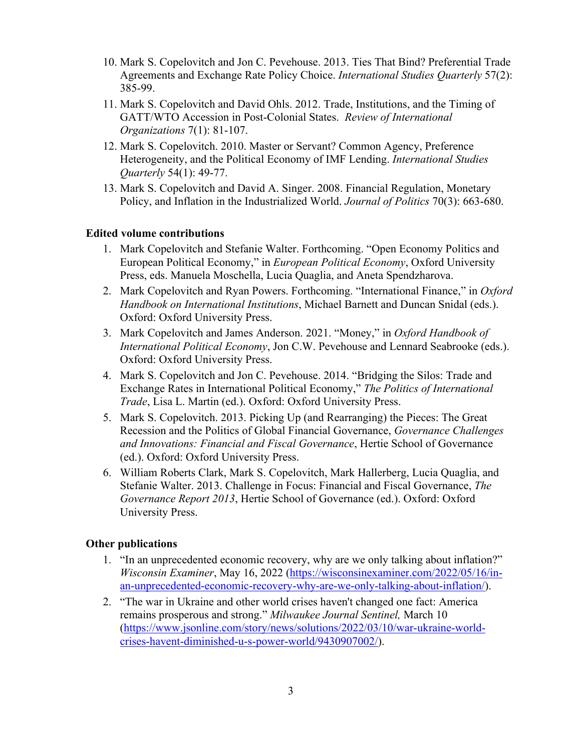- 10. Mark S. Copelovitch and Jon C. Pevehouse. 2013. Ties That Bind? Preferential Trade Agreements and Exchange Rate Policy Choice. *International Studies Quarterly* 57(2): 385-99.
- 11. Mark S. Copelovitch and David Ohls. 2012. Trade, Institutions, and the Timing of GATT/WTO Accession in Post-Colonial States. *Review of International Organizations* 7(1): 81-107.
- 12. Mark S. Copelovitch. 2010. Master or Servant? Common Agency, Preference Heterogeneity, and the Political Economy of IMF Lending. *International Studies Quarterly* 54(1): 49-77.
- 13. Mark S. Copelovitch and David A. Singer. 2008. Financial Regulation, Monetary Policy, and Inflation in the Industrialized World. *Journal of Politics* 70(3): 663-680.

#### **Edited volume contributions**

- 1. Mark Copelovitch and Stefanie Walter. Forthcoming. "Open Economy Politics and European Political Economy," in *European Political Economy*, Oxford University Press, eds. Manuela Moschella, Lucia Quaglia, and Aneta Spendzharova.
- 2. Mark Copelovitch and Ryan Powers. Forthcoming. "International Finance," in *Oxford Handbook on International Institutions*, Michael Barnett and Duncan Snidal (eds.). Oxford: Oxford University Press.
- 3. Mark Copelovitch and James Anderson. 2021. "Money," in *Oxford Handbook of International Political Economy*, Jon C.W. Pevehouse and Lennard Seabrooke (eds.). Oxford: Oxford University Press.
- 4. Mark S. Copelovitch and Jon C. Pevehouse. 2014. "Bridging the Silos: Trade and Exchange Rates in International Political Economy," *The Politics of International Trade*, Lisa L. Martin (ed.). Oxford: Oxford University Press.
- 5. Mark S. Copelovitch. 2013. Picking Up (and Rearranging) the Pieces: The Great Recession and the Politics of Global Financial Governance, *Governance Challenges and Innovations: Financial and Fiscal Governance*, Hertie School of Governance (ed.). Oxford: Oxford University Press.
- 6. William Roberts Clark, Mark S. Copelovitch, Mark Hallerberg, Lucia Quaglia, and Stefanie Walter. 2013. Challenge in Focus: Financial and Fiscal Governance, *The Governance Report 2013*, Hertie School of Governance (ed.). Oxford: Oxford University Press.

#### **Other publications**

- 1. "In an unprecedented economic recovery, why are we only talking about inflation?" *Wisconsin Examiner*, May 16, 2022 (https://wisconsinexaminer.com/2022/05/16/inan-unprecedented-economic-recovery-why-are-we-only-talking-about-inflation/).
- 2. "The war in Ukraine and other world crises haven't changed one fact: America remains prosperous and strong." *Milwaukee Journal Sentinel,* March 10 (https://www.jsonline.com/story/news/solutions/2022/03/10/war-ukraine-worldcrises-havent-diminished-u-s-power-world/9430907002/).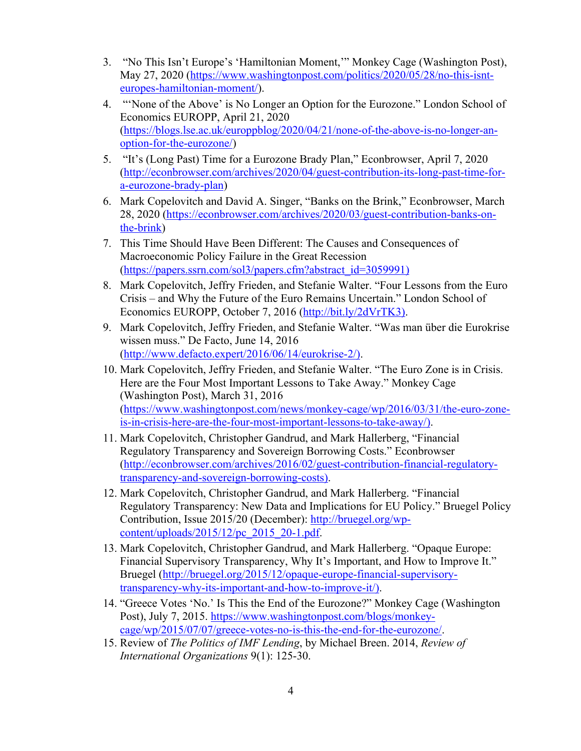- 3. "No This Isn't Europe's 'Hamiltonian Moment,'" Monkey Cage (Washington Post), May 27, 2020 (https://www.washingtonpost.com/politics/2020/05/28/no-this-isnteuropes-hamiltonian-moment/).
- 4. "'None of the Above' is No Longer an Option for the Eurozone." London School of Economics EUROPP, April 21, 2020 (https://blogs.lse.ac.uk/europpblog/2020/04/21/none-of-the-above-is-no-longer-anoption-for-the-eurozone/)
- 5. "It's (Long Past) Time for a Eurozone Brady Plan," Econbrowser, April 7, 2020 (http://econbrowser.com/archives/2020/04/guest-contribution-its-long-past-time-fora-eurozone-brady-plan)
- 6. Mark Copelovitch and David A. Singer, "Banks on the Brink," Econbrowser, March 28, 2020 (https://econbrowser.com/archives/2020/03/guest-contribution-banks-onthe-brink)
- 7. This Time Should Have Been Different: The Causes and Consequences of Macroeconomic Policy Failure in the Great Recession (https://papers.ssrn.com/sol3/papers.cfm?abstract\_id=3059991)
- 8. Mark Copelovitch, Jeffry Frieden, and Stefanie Walter. "Four Lessons from the Euro Crisis – and Why the Future of the Euro Remains Uncertain." London School of Economics EUROPP, October 7, 2016 (http://bit.ly/2dVrTK3).
- 9. Mark Copelovitch, Jeffry Frieden, and Stefanie Walter. "Was man über die Eurokrise wissen muss." De Facto, June 14, 2016 (http://www.defacto.expert/2016/06/14/eurokrise-2/).
- 10. Mark Copelovitch, Jeffry Frieden, and Stefanie Walter. "The Euro Zone is in Crisis. Here are the Four Most Important Lessons to Take Away." Monkey Cage (Washington Post), March 31, 2016 (https://www.washingtonpost.com/news/monkey-cage/wp/2016/03/31/the-euro-zoneis-in-crisis-here-are-the-four-most-important-lessons-to-take-away/).
- 11. Mark Copelovitch, Christopher Gandrud, and Mark Hallerberg, "Financial Regulatory Transparency and Sovereign Borrowing Costs." Econbrowser (http://econbrowser.com/archives/2016/02/guest-contribution-financial-regulatorytransparency-and-sovereign-borrowing-costs).
- 12. Mark Copelovitch, Christopher Gandrud, and Mark Hallerberg. "Financial Regulatory Transparency: New Data and Implications for EU Policy." Bruegel Policy Contribution, Issue 2015/20 (December): http://bruegel.org/wpcontent/uploads/2015/12/pc\_2015\_20-1.pdf.
- 13. Mark Copelovitch, Christopher Gandrud, and Mark Hallerberg. "Opaque Europe: Financial Supervisory Transparency, Why It's Important, and How to Improve It." Bruegel (http://bruegel.org/2015/12/opaque-europe-financial-supervisorytransparency-why-its-important-and-how-to-improve-it/).
- 14. "Greece Votes 'No.' Is This the End of the Eurozone?" Monkey Cage (Washington Post), July 7, 2015. https://www.washingtonpost.com/blogs/monkeycage/wp/2015/07/07/greece-votes-no-is-this-the-end-for-the-eurozone/.
- 15. Review of *The Politics of IMF Lending*, by Michael Breen. 2014, *Review of International Organizations* 9(1): 125-30.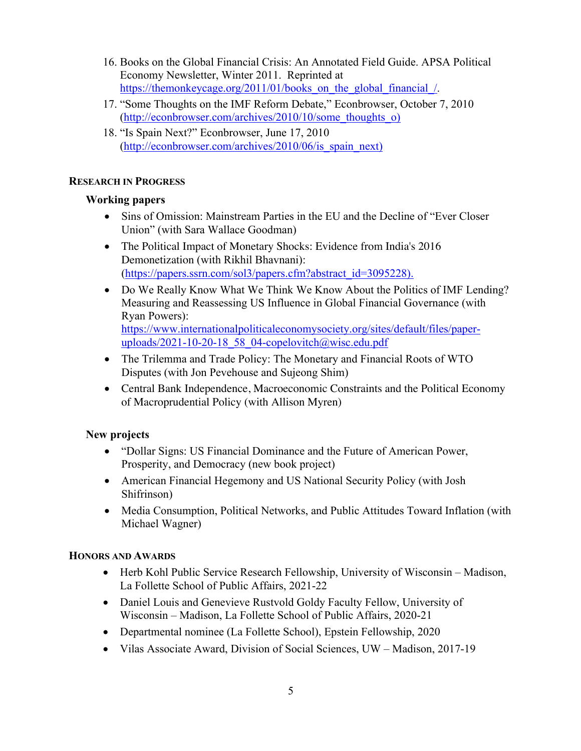- 16. Books on the Global Financial Crisis: An Annotated Field Guide. APSA Political Economy Newsletter, Winter 2011. Reprinted at https://themonkeycage.org/2011/01/books on the global financial /.
- 17. "Some Thoughts on the IMF Reform Debate," Econbrowser, October 7, 2010 (http://econbrowser.com/archives/2010/10/some\_thoughts\_o)
- 18. "Is Spain Next?" Econbrowser, June 17, 2010 (http://econbrowser.com/archives/2010/06/is spain next)

# **RESEARCH IN PROGRESS**

# **Working papers**

- Sins of Omission: Mainstream Parties in the EU and the Decline of "Ever Closer" Union" (with Sara Wallace Goodman)
- The Political Impact of Monetary Shocks: Evidence from India's 2016 Demonetization (with Rikhil Bhavnani): (https://papers.ssrn.com/sol3/papers.cfm?abstract\_id=3095228).
- Do We Really Know What We Think We Know About the Politics of IMF Lending? Measuring and Reassessing US Influence in Global Financial Governance (with Ryan Powers): https://www.internationalpoliticaleconomysociety.org/sites/default/files/paperuploads/2021-10-20-18\_58\_04-copelovitch@wisc.edu.pdf
- The Trilemma and Trade Policy: The Monetary and Financial Roots of WTO Disputes (with Jon Pevehouse and Sujeong Shim)
- Central Bank Independence, Macroeconomic Constraints and the Political Economy of Macroprudential Policy (with Allison Myren)

# **New projects**

- "Dollar Signs: US Financial Dominance and the Future of American Power, Prosperity, and Democracy (new book project)
- American Financial Hegemony and US National Security Policy (with Josh Shifrinson)
- Media Consumption, Political Networks, and Public Attitudes Toward Inflation (with Michael Wagner)

# **HONORS AND AWARDS**

- Herb Kohl Public Service Research Fellowship, University of Wisconsin Madison, La Follette School of Public Affairs, 2021-22
- Daniel Louis and Genevieve Rustvold Goldy Faculty Fellow, University of Wisconsin – Madison, La Follette School of Public Affairs, 2020-21
- Departmental nominee (La Follette School), Epstein Fellowship, 2020
- Vilas Associate Award, Division of Social Sciences, UW Madison, 2017-19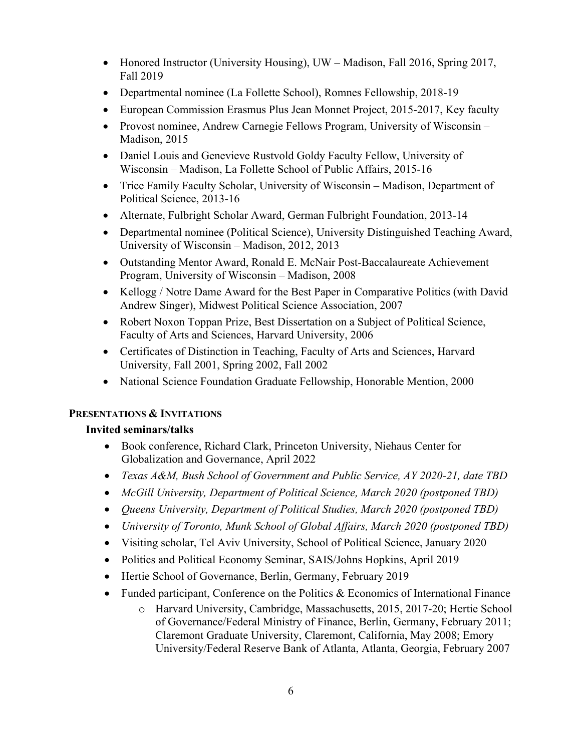- Honored Instructor (University Housing), UW Madison, Fall 2016, Spring 2017, Fall 2019
- Departmental nominee (La Follette School), Romnes Fellowship, 2018-19
- European Commission Erasmus Plus Jean Monnet Project, 2015-2017, Key faculty
- Provost nominee, Andrew Carnegie Fellows Program, University of Wisconsin Madison, 2015
- Daniel Louis and Genevieve Rustvold Goldy Faculty Fellow, University of Wisconsin – Madison, La Follette School of Public Affairs, 2015-16
- Trice Family Faculty Scholar, University of Wisconsin Madison, Department of Political Science, 2013-16
- Alternate, Fulbright Scholar Award, German Fulbright Foundation, 2013-14
- Departmental nominee (Political Science), University Distinguished Teaching Award, University of Wisconsin – Madison, 2012, 2013
- Outstanding Mentor Award, Ronald E. McNair Post-Baccalaureate Achievement Program, University of Wisconsin – Madison, 2008
- Kellogg / Notre Dame Award for the Best Paper in Comparative Politics (with David Andrew Singer), Midwest Political Science Association, 2007
- Robert Noxon Toppan Prize, Best Dissertation on a Subject of Political Science, Faculty of Arts and Sciences, Harvard University, 2006
- Certificates of Distinction in Teaching, Faculty of Arts and Sciences, Harvard University, Fall 2001, Spring 2002, Fall 2002
- National Science Foundation Graduate Fellowship, Honorable Mention, 2000

# **PRESENTATIONS & INVITATIONS**

# **Invited seminars/talks**

- Book conference, Richard Clark, Princeton University, Niehaus Center for Globalization and Governance, April 2022
- *Texas A&M, Bush School of Government and Public Service, AY 2020-21, date TBD*
- *McGill University, Department of Political Science, March 2020 (postponed TBD)*
- *Queens University, Department of Political Studies, March 2020 (postponed TBD)*
- *University of Toronto, Munk School of Global Affairs, March 2020 (postponed TBD)*
- Visiting scholar, Tel Aviv University, School of Political Science, January 2020
- Politics and Political Economy Seminar, SAIS/Johns Hopkins, April 2019
- Hertie School of Governance, Berlin, Germany, February 2019
- Funded participant, Conference on the Politics  $\&$  Economics of International Finance
	- o Harvard University, Cambridge, Massachusetts, 2015, 2017-20; Hertie School of Governance/Federal Ministry of Finance, Berlin, Germany, February 2011; Claremont Graduate University, Claremont, California, May 2008; Emory University/Federal Reserve Bank of Atlanta, Atlanta, Georgia, February 2007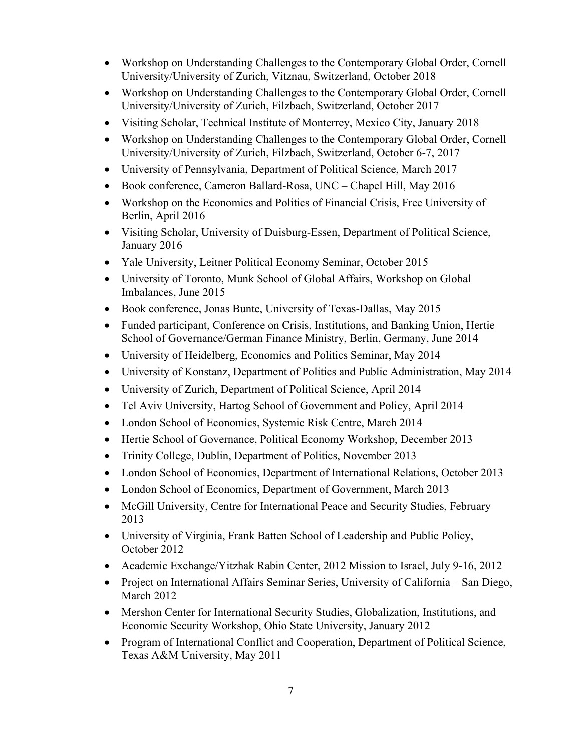- Workshop on Understanding Challenges to the Contemporary Global Order, Cornell University/University of Zurich, Vitznau, Switzerland, October 2018
- Workshop on Understanding Challenges to the Contemporary Global Order, Cornell University/University of Zurich, Filzbach, Switzerland, October 2017
- Visiting Scholar, Technical Institute of Monterrey, Mexico City, January 2018
- Workshop on Understanding Challenges to the Contemporary Global Order, Cornell University/University of Zurich, Filzbach, Switzerland, October 6-7, 2017
- University of Pennsylvania, Department of Political Science, March 2017
- Book conference, Cameron Ballard-Rosa, UNC Chapel Hill, May 2016
- Workshop on the Economics and Politics of Financial Crisis, Free University of Berlin, April 2016
- Visiting Scholar, University of Duisburg-Essen, Department of Political Science, January 2016
- Yale University, Leitner Political Economy Seminar, October 2015
- University of Toronto, Munk School of Global Affairs, Workshop on Global Imbalances, June 2015
- Book conference, Jonas Bunte, University of Texas-Dallas, May 2015
- Funded participant, Conference on Crisis, Institutions, and Banking Union, Hertie School of Governance/German Finance Ministry, Berlin, Germany, June 2014
- University of Heidelberg, Economics and Politics Seminar, May 2014
- University of Konstanz, Department of Politics and Public Administration, May 2014
- University of Zurich, Department of Political Science, April 2014
- Tel Aviv University, Hartog School of Government and Policy, April 2014
- London School of Economics, Systemic Risk Centre, March 2014
- Hertie School of Governance, Political Economy Workshop, December 2013
- Trinity College, Dublin, Department of Politics, November 2013
- London School of Economics, Department of International Relations, October 2013
- London School of Economics, Department of Government, March 2013
- McGill University, Centre for International Peace and Security Studies, February 2013
- University of Virginia, Frank Batten School of Leadership and Public Policy, October 2012
- Academic Exchange/Yitzhak Rabin Center, 2012 Mission to Israel, July 9-16, 2012
- Project on International Affairs Seminar Series, University of California San Diego, March 2012
- Mershon Center for International Security Studies, Globalization, Institutions, and Economic Security Workshop, Ohio State University, January 2012
- Program of International Conflict and Cooperation, Department of Political Science, Texas A&M University, May 2011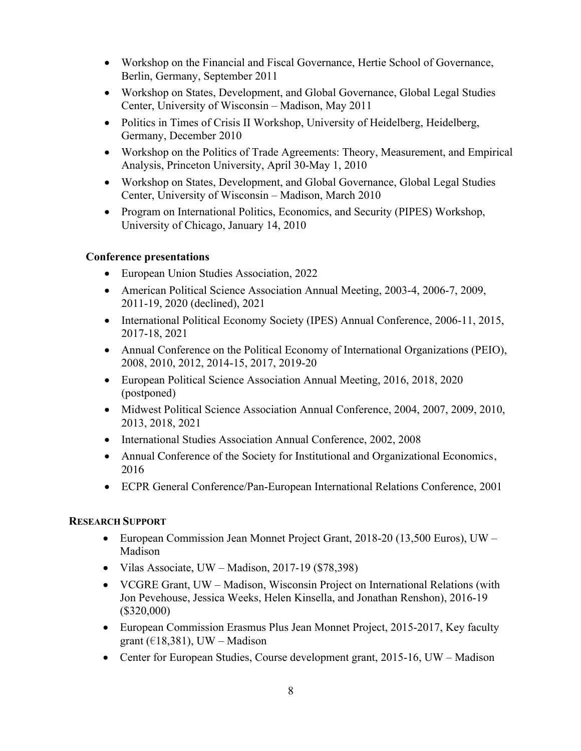- Workshop on the Financial and Fiscal Governance, Hertie School of Governance, Berlin, Germany, September 2011
- Workshop on States, Development, and Global Governance, Global Legal Studies Center, University of Wisconsin – Madison, May 2011
- Politics in Times of Crisis II Workshop, University of Heidelberg, Heidelberg, Germany, December 2010
- Workshop on the Politics of Trade Agreements: Theory, Measurement, and Empirical Analysis, Princeton University, April 30-May 1, 2010
- Workshop on States, Development, and Global Governance, Global Legal Studies Center, University of Wisconsin – Madison, March 2010
- Program on International Politics, Economics, and Security (PIPES) Workshop, University of Chicago, January 14, 2010

#### **Conference presentations**

- European Union Studies Association, 2022
- American Political Science Association Annual Meeting, 2003-4, 2006-7, 2009, 2011-19, 2020 (declined), 2021
- International Political Economy Society (IPES) Annual Conference, 2006-11, 2015, 2017-18, 2021
- Annual Conference on the Political Economy of International Organizations (PEIO), 2008, 2010, 2012, 2014-15, 2017, 2019-20
- European Political Science Association Annual Meeting, 2016, 2018, 2020 (postponed)
- Midwest Political Science Association Annual Conference, 2004, 2007, 2009, 2010, 2013, 2018, 2021
- International Studies Association Annual Conference, 2002, 2008
- Annual Conference of the Society for Institutional and Organizational Economics, 2016
- ECPR General Conference/Pan-European International Relations Conference, 2001

# **RESEARCH SUPPORT**

- European Commission Jean Monnet Project Grant, 2018-20 (13,500 Euros), UW Madison
- Vilas Associate, UW Madison, 2017-19 (\$78,398)
- VCGRE Grant, UW Madison, Wisconsin Project on International Relations (with Jon Pevehouse, Jessica Weeks, Helen Kinsella, and Jonathan Renshon), 2016-19 (\$320,000)
- European Commission Erasmus Plus Jean Monnet Project, 2015-2017, Key faculty grant ( $\in$ 18,381), UW – Madison
- Center for European Studies, Course development grant, 2015-16, UW Madison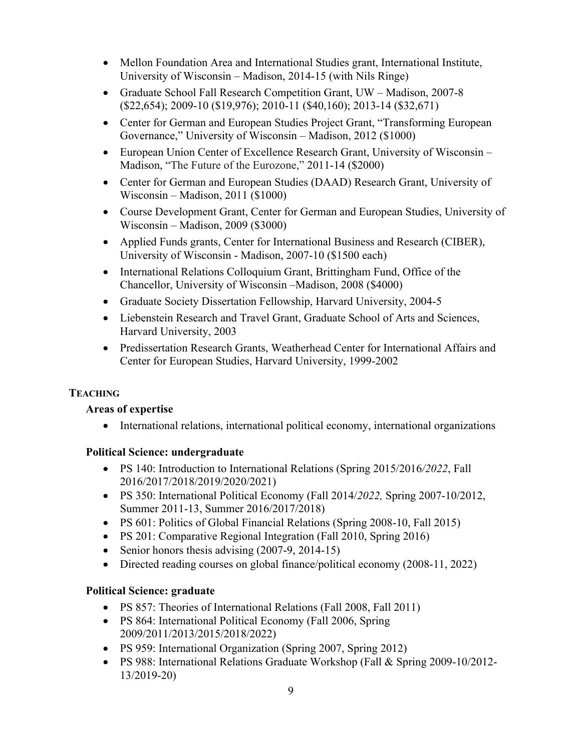- Mellon Foundation Area and International Studies grant, International Institute, University of Wisconsin – Madison, 2014-15 (with Nils Ringe)
- Graduate School Fall Research Competition Grant, UW Madison, 2007-8 (\$22,654); 2009-10 (\$19,976); 2010-11 (\$40,160); 2013-14 (\$32,671)
- Center for German and European Studies Project Grant, "Transforming European Governance," University of Wisconsin – Madison, 2012 (\$1000)
- European Union Center of Excellence Research Grant, University of Wisconsin Madison, "The Future of the Eurozone," 2011-14 (\$2000)
- Center for German and European Studies (DAAD) Research Grant, University of Wisconsin – Madison, 2011 (\$1000)
- Course Development Grant, Center for German and European Studies, University of Wisconsin – Madison, 2009 (\$3000)
- Applied Funds grants, Center for International Business and Research (CIBER), University of Wisconsin - Madison, 2007-10 (\$1500 each)
- International Relations Colloquium Grant, Brittingham Fund, Office of the Chancellor, University of Wisconsin –Madison, 2008 (\$4000)
- Graduate Society Dissertation Fellowship, Harvard University, 2004-5
- Liebenstein Research and Travel Grant, Graduate School of Arts and Sciences, Harvard University, 2003
- Predissertation Research Grants, Weatherhead Center for International Affairs and Center for European Studies, Harvard University, 1999-2002

# **TEACHING**

# **Areas of expertise**

• International relations, international political economy, international organizations

# **Political Science: undergraduate**

- PS 140: Introduction to International Relations (Spring 2015/2016*/2022*, Fall 2016/2017/2018/2019/2020/2021)
- PS 350: International Political Economy (Fall 2014/*2022,* Spring 2007-10/2012, Summer 2011-13, Summer 2016/2017/2018)
- PS 601: Politics of Global Financial Relations (Spring 2008-10, Fall 2015)
- PS 201: Comparative Regional Integration (Fall 2010, Spring 2016)
- Senior honors thesis advising (2007-9, 2014-15)
- Directed reading courses on global finance/political economy (2008-11, 2022)

# **Political Science: graduate**

- PS 857: Theories of International Relations (Fall 2008, Fall 2011)
- PS 864: International Political Economy (Fall 2006, Spring 2009/2011/2013/2015/2018/2022)
- PS 959: International Organization (Spring 2007, Spring 2012)
- PS 988: International Relations Graduate Workshop (Fall & Spring 2009-10/2012- 13/2019-20)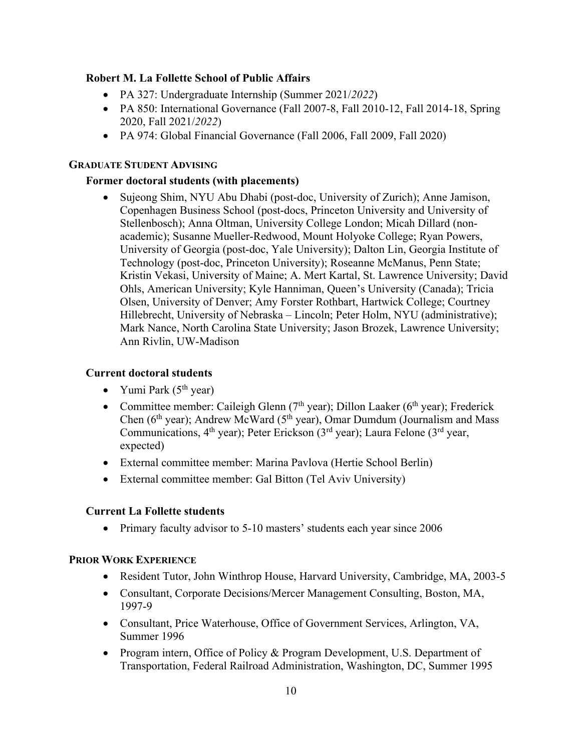# **Robert M. La Follette School of Public Affairs**

- PA 327: Undergraduate Internship (Summer 2021/*2022*)
- PA 850: International Governance (Fall 2007-8, Fall 2010-12, Fall 2014-18, Spring 2020, Fall 2021/*2022*)
- PA 974: Global Financial Governance (Fall 2006, Fall 2009, Fall 2020)

#### **GRADUATE STUDENT ADVISING**

# **Former doctoral students (with placements)**

• Sujeong Shim, NYU Abu Dhabi (post-doc, University of Zurich); Anne Jamison, Copenhagen Business School (post-docs, Princeton University and University of Stellenbosch); Anna Oltman, University College London; Micah Dillard (nonacademic); Susanne Mueller-Redwood, Mount Holyoke College; Ryan Powers, University of Georgia (post-doc, Yale University); Dalton Lin, Georgia Institute of Technology (post-doc, Princeton University); Roseanne McManus, Penn State; Kristin Vekasi, University of Maine; A. Mert Kartal, St. Lawrence University; David Ohls, American University; Kyle Hanniman, Queen's University (Canada); Tricia Olsen, University of Denver; Amy Forster Rothbart, Hartwick College; Courtney Hillebrecht, University of Nebraska – Lincoln; Peter Holm, NYU (administrative); Mark Nance, North Carolina State University; Jason Brozek, Lawrence University; Ann Rivlin, UW-Madison

# **Current doctoral students**

- Yumi Park  $(5<sup>th</sup>$  year)
- Committee member: Caileigh Glenn ( $7<sup>th</sup>$  year); Dillon Laaker ( $6<sup>th</sup>$  year); Frederick Chen (6<sup>th</sup> year); Andrew McWard (5<sup>th</sup> year), Omar Dumdum (Journalism and Mass Communications,  $4^{\text{th}}$  year); Peter Erickson ( $3^{\text{rd}}$  year); Laura Felone ( $3^{\text{rd}}$  year, expected)
- External committee member: Marina Pavlova (Hertie School Berlin)
- External committee member: Gal Bitton (Tel Aviv University)

# **Current La Follette students**

• Primary faculty advisor to 5-10 masters' students each year since 2006

# **PRIOR WORK EXPERIENCE**

- Resident Tutor, John Winthrop House, Harvard University, Cambridge, MA, 2003-5
- Consultant, Corporate Decisions/Mercer Management Consulting, Boston, MA, 1997-9
- Consultant, Price Waterhouse, Office of Government Services, Arlington, VA, Summer 1996
- Program intern, Office of Policy & Program Development, U.S. Department of Transportation, Federal Railroad Administration, Washington, DC, Summer 1995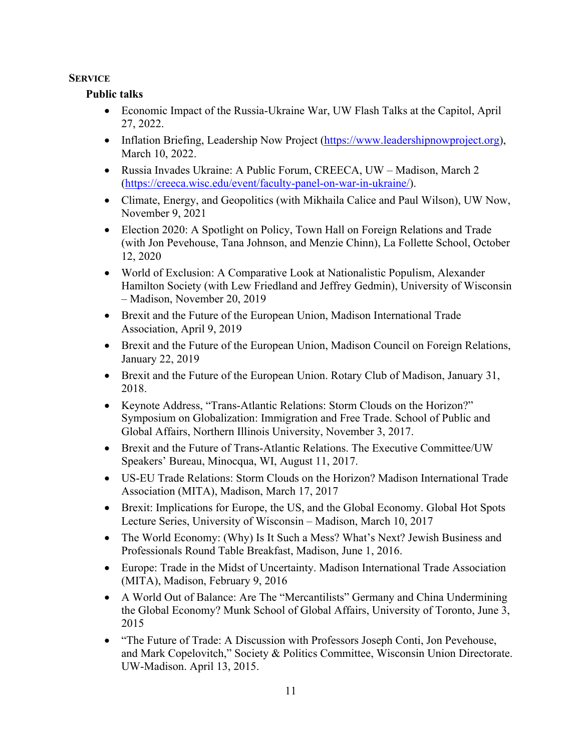#### **SERVICE**

#### **Public talks**

- Economic Impact of the Russia-Ukraine War, UW Flash Talks at the Capitol, April 27, 2022.
- Inflation Briefing, Leadership Now Project (https://www.leadershipnowproject.org), March 10, 2022.
- Russia Invades Ukraine: A Public Forum, CREECA, UW Madison, March 2 (https://creeca.wisc.edu/event/faculty-panel-on-war-in-ukraine/).
- Climate, Energy, and Geopolitics (with Mikhaila Calice and Paul Wilson), UW Now, November 9, 2021
- Election 2020: A Spotlight on Policy, Town Hall on Foreign Relations and Trade (with Jon Pevehouse, Tana Johnson, and Menzie Chinn), La Follette School, October 12, 2020
- World of Exclusion: A Comparative Look at Nationalistic Populism, Alexander Hamilton Society (with Lew Friedland and Jeffrey Gedmin), University of Wisconsin – Madison, November 20, 2019
- Brexit and the Future of the European Union, Madison International Trade Association, April 9, 2019
- Brexit and the Future of the European Union, Madison Council on Foreign Relations, January 22, 2019
- Brexit and the Future of the European Union. Rotary Club of Madison, January 31, 2018.
- Keynote Address, "Trans-Atlantic Relations: Storm Clouds on the Horizon?" Symposium on Globalization: Immigration and Free Trade. School of Public and Global Affairs, Northern Illinois University, November 3, 2017.
- Brexit and the Future of Trans-Atlantic Relations. The Executive Committee/UW Speakers' Bureau, Minocqua, WI, August 11, 2017.
- US-EU Trade Relations: Storm Clouds on the Horizon? Madison International Trade Association (MITA), Madison, March 17, 2017
- Brexit: Implications for Europe, the US, and the Global Economy. Global Hot Spots Lecture Series, University of Wisconsin – Madison, March 10, 2017
- The World Economy: (Why) Is It Such a Mess? What's Next? Jewish Business and Professionals Round Table Breakfast, Madison, June 1, 2016.
- Europe: Trade in the Midst of Uncertainty. Madison International Trade Association (MITA), Madison, February 9, 2016
- A World Out of Balance: Are The "Mercantilists" Germany and China Undermining the Global Economy? Munk School of Global Affairs, University of Toronto, June 3, 2015
- "The Future of Trade: A Discussion with Professors Joseph Conti, Jon Pevehouse, and Mark Copelovitch," Society & Politics Committee, Wisconsin Union Directorate. UW-Madison. April 13, 2015.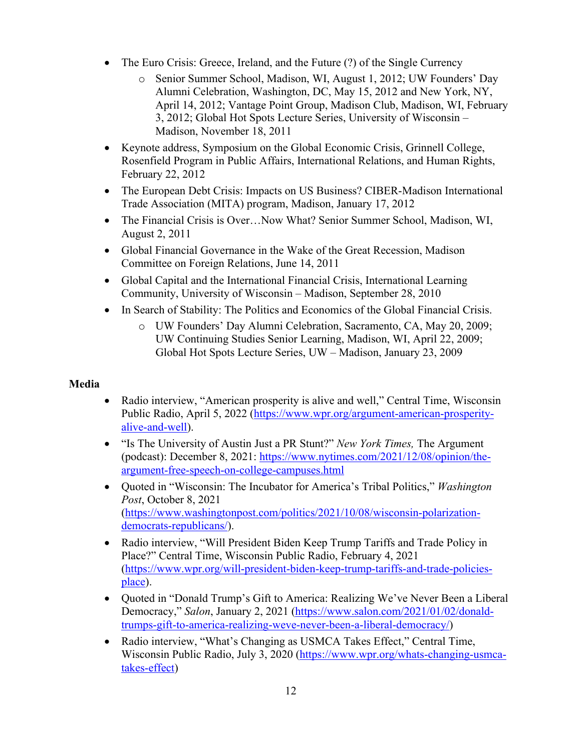- The Euro Crisis: Greece, Ireland, and the Future (?) of the Single Currency
	- o Senior Summer School, Madison, WI, August 1, 2012; UW Founders' Day Alumni Celebration, Washington, DC, May 15, 2012 and New York, NY, April 14, 2012; Vantage Point Group, Madison Club, Madison, WI, February 3, 2012; Global Hot Spots Lecture Series, University of Wisconsin – Madison, November 18, 2011
- Keynote address, Symposium on the Global Economic Crisis, Grinnell College, Rosenfield Program in Public Affairs, International Relations, and Human Rights, February 22, 2012
- The European Debt Crisis: Impacts on US Business? CIBER-Madison International Trade Association (MITA) program, Madison, January 17, 2012
- The Financial Crisis is Over...Now What? Senior Summer School, Madison, WI, August 2, 2011
- Global Financial Governance in the Wake of the Great Recession, Madison Committee on Foreign Relations, June 14, 2011
- Global Capital and the International Financial Crisis, International Learning Community, University of Wisconsin – Madison, September 28, 2010
- In Search of Stability: The Politics and Economics of the Global Financial Crisis.
	- o UW Founders' Day Alumni Celebration, Sacramento, CA, May 20, 2009; UW Continuing Studies Senior Learning, Madison, WI, April 22, 2009; Global Hot Spots Lecture Series, UW – Madison, January 23, 2009

# **Media**

- Radio interview, "American prosperity is alive and well," Central Time, Wisconsin Public Radio, April 5, 2022 (https://www.wpr.org/argument-american-prosperityalive-and-well).
- "Is The University of Austin Just a PR Stunt?" *New York Times,* The Argument (podcast): December 8, 2021: https://www.nytimes.com/2021/12/08/opinion/theargument-free-speech-on-college-campuses.html
- Quoted in "Wisconsin: The Incubator for America's Tribal Politics," *Washington Post*, October 8, 2021 (https://www.washingtonpost.com/politics/2021/10/08/wisconsin-polarizationdemocrats-republicans/).
- Radio interview, "Will President Biden Keep Trump Tariffs and Trade Policy in Place?" Central Time, Wisconsin Public Radio, February 4, 2021 (https://www.wpr.org/will-president-biden-keep-trump-tariffs-and-trade-policiesplace).
- Quoted in "Donald Trump's Gift to America: Realizing We've Never Been a Liberal Democracy," *Salon*, January 2, 2021 (https://www.salon.com/2021/01/02/donaldtrumps-gift-to-america-realizing-weve-never-been-a-liberal-democracy/)
- Radio interview, "What's Changing as USMCA Takes Effect," Central Time, Wisconsin Public Radio, July 3, 2020 (https://www.wpr.org/whats-changing-usmcatakes-effect)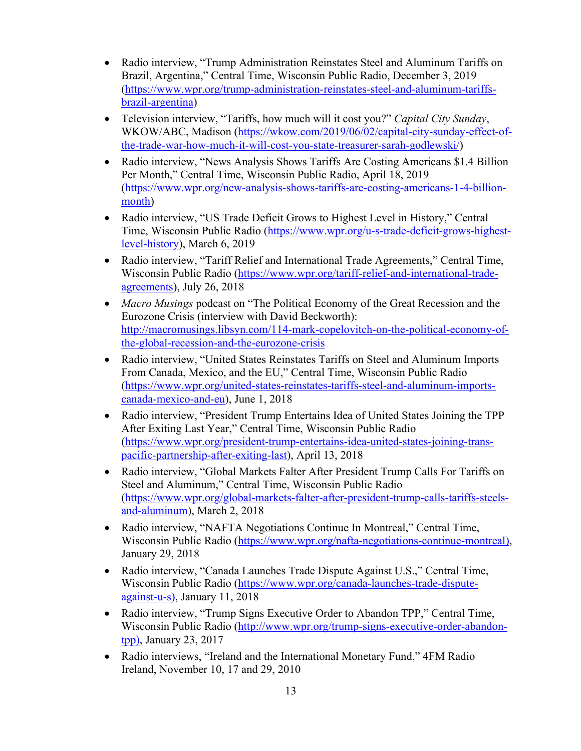- Radio interview, "Trump Administration Reinstates Steel and Aluminum Tariffs on Brazil, Argentina," Central Time, Wisconsin Public Radio, December 3, 2019 (https://www.wpr.org/trump-administration-reinstates-steel-and-aluminum-tariffsbrazil-argentina)
- Television interview, "Tariffs, how much will it cost you?" *Capital City Sunday*, WKOW/ABC, Madison (https://wkow.com/2019/06/02/capital-city-sunday-effect-ofthe-trade-war-how-much-it-will-cost-you-state-treasurer-sarah-godlewski/)
- Radio interview, "News Analysis Shows Tariffs Are Costing Americans \$1.4 Billion Per Month," Central Time, Wisconsin Public Radio, April 18, 2019 (https://www.wpr.org/new-analysis-shows-tariffs-are-costing-americans-1-4-billionmonth)
- Radio interview, "US Trade Deficit Grows to Highest Level in History," Central Time, Wisconsin Public Radio (https://www.wpr.org/u-s-trade-deficit-grows-highestlevel-history), March 6, 2019
- Radio interview, "Tariff Relief and International Trade Agreements," Central Time, Wisconsin Public Radio (https://www.wpr.org/tariff-relief-and-international-tradeagreements), July 26, 2018
- *Macro Musings* podcast on "The Political Economy of the Great Recession and the Eurozone Crisis (interview with David Beckworth): http://macromusings.libsyn.com/114-mark-copelovitch-on-the-political-economy-ofthe-global-recession-and-the-eurozone-crisis
- Radio interview, "United States Reinstates Tariffs on Steel and Aluminum Imports From Canada, Mexico, and the EU," Central Time, Wisconsin Public Radio (https://www.wpr.org/united-states-reinstates-tariffs-steel-and-aluminum-importscanada-mexico-and-eu), June 1, 2018
- Radio interview, "President Trump Entertains Idea of United States Joining the TPP After Exiting Last Year," Central Time, Wisconsin Public Radio (https://www.wpr.org/president-trump-entertains-idea-united-states-joining-transpacific-partnership-after-exiting-last), April 13, 2018
- Radio interview, "Global Markets Falter After President Trump Calls For Tariffs on Steel and Aluminum," Central Time, Wisconsin Public Radio (https://www.wpr.org/global-markets-falter-after-president-trump-calls-tariffs-steelsand-aluminum), March 2, 2018
- Radio interview, "NAFTA Negotiations Continue In Montreal," Central Time, Wisconsin Public Radio (https://www.wpr.org/nafta-negotiations-continue-montreal), January 29, 2018
- Radio interview, "Canada Launches Trade Dispute Against U.S.," Central Time, Wisconsin Public Radio (https://www.wpr.org/canada-launches-trade-disputeagainst-u-s), January 11, 2018
- Radio interview, "Trump Signs Executive Order to Abandon TPP," Central Time, Wisconsin Public Radio (http://www.wpr.org/trump-signs-executive-order-abandontpp), January 23, 2017
- Radio interviews, "Ireland and the International Monetary Fund," 4FM Radio Ireland, November 10, 17 and 29, 2010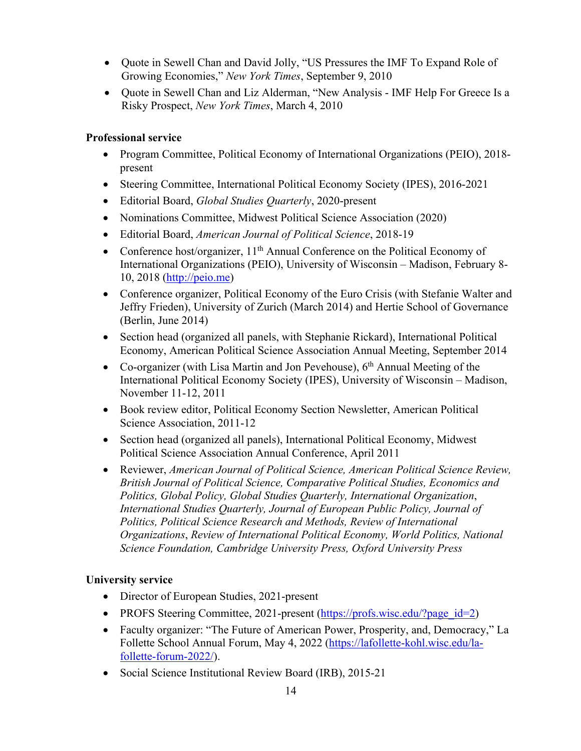- Quote in Sewell Chan and David Jolly, "US Pressures the IMF To Expand Role of Growing Economies," *New York Times*, September 9, 2010
- Quote in Sewell Chan and Liz Alderman, "New Analysis IMF Help For Greece Is a Risky Prospect, *New York Times*, March 4, 2010

#### **Professional service**

- Program Committee, Political Economy of International Organizations (PEIO), 2018present
- Steering Committee, International Political Economy Society (IPES), 2016-2021
- Editorial Board, *Global Studies Quarterly*, 2020-present
- Nominations Committee, Midwest Political Science Association (2020)
- Editorial Board, *American Journal of Political Science*, 2018-19
- Conference host/organizer,  $11<sup>th</sup>$  Annual Conference on the Political Economy of International Organizations (PEIO), University of Wisconsin – Madison, February 8- 10, 2018 (http://peio.me)
- Conference organizer, Political Economy of the Euro Crisis (with Stefanie Walter and Jeffry Frieden), University of Zurich (March 2014) and Hertie School of Governance (Berlin, June 2014)
- Section head (organized all panels, with Stephanie Rickard), International Political Economy, American Political Science Association Annual Meeting, September 2014
- Co-organizer (with Lisa Martin and Jon Pevehouse),  $6<sup>th</sup>$  Annual Meeting of the International Political Economy Society (IPES), University of Wisconsin – Madison, November 11-12, 2011
- Book review editor, Political Economy Section Newsletter, American Political Science Association, 2011-12
- Section head (organized all panels), International Political Economy, Midwest Political Science Association Annual Conference, April 2011
- Reviewer, *American Journal of Political Science, American Political Science Review, British Journal of Political Science, Comparative Political Studies, Economics and Politics, Global Policy, Global Studies Quarterly, International Organization*, *International Studies Quarterly, Journal of European Public Policy, Journal of Politics, Political Science Research and Methods, Review of International Organizations*, *Review of International Political Economy, World Politics, National Science Foundation, Cambridge University Press, Oxford University Press*

#### **University service**

- Director of European Studies, 2021-present
- PROFS Steering Committee, 2021-present (https://profs.wisc.edu/?page\_id=2)
- Faculty organizer: "The Future of American Power, Prosperity, and, Democracy," La Follette School Annual Forum, May 4, 2022 (https://lafollette-kohl.wisc.edu/lafollette-forum-2022/).
- Social Science Institutional Review Board (IRB), 2015-21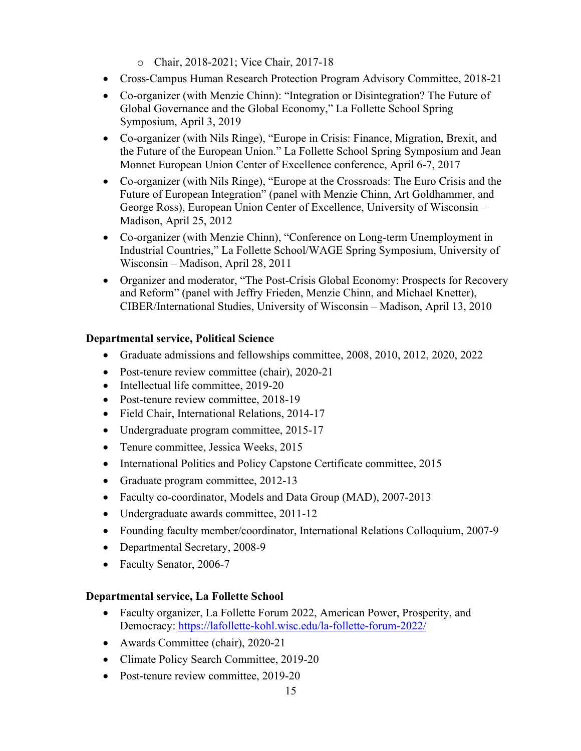- o Chair, 2018-2021; Vice Chair, 2017-18
- Cross-Campus Human Research Protection Program Advisory Committee, 2018-21
- Co-organizer (with Menzie Chinn): "Integration or Disintegration? The Future of Global Governance and the Global Economy," La Follette School Spring Symposium, April 3, 2019
- Co-organizer (with Nils Ringe), "Europe in Crisis: Finance, Migration, Brexit, and the Future of the European Union." La Follette School Spring Symposium and Jean Monnet European Union Center of Excellence conference, April 6-7, 2017
- Co-organizer (with Nils Ringe), "Europe at the Crossroads: The Euro Crisis and the Future of European Integration" (panel with Menzie Chinn, Art Goldhammer, and George Ross), European Union Center of Excellence, University of Wisconsin – Madison, April 25, 2012
- Co-organizer (with Menzie Chinn), "Conference on Long-term Unemployment in Industrial Countries," La Follette School/WAGE Spring Symposium, University of Wisconsin – Madison, April 28, 2011
- Organizer and moderator, "The Post-Crisis Global Economy: Prospects for Recovery and Reform" (panel with Jeffry Frieden, Menzie Chinn, and Michael Knetter), CIBER/International Studies, University of Wisconsin – Madison, April 13, 2010

# **Departmental service, Political Science**

- Graduate admissions and fellowships committee, 2008, 2010, 2012, 2020, 2022
- Post-tenure review committee (chair), 2020-21
- Intellectual life committee, 2019-20
- Post-tenure review committee, 2018-19
- Field Chair, International Relations, 2014-17
- Undergraduate program committee, 2015-17
- Tenure committee, Jessica Weeks, 2015
- International Politics and Policy Capstone Certificate committee, 2015
- Graduate program committee, 2012-13
- Faculty co-coordinator, Models and Data Group (MAD), 2007-2013
- Undergraduate awards committee, 2011-12
- Founding faculty member/coordinator, International Relations Colloquium, 2007-9
- Departmental Secretary, 2008-9
- Faculty Senator, 2006-7

# **Departmental service, La Follette School**

- Faculty organizer, La Follette Forum 2022, American Power, Prosperity, and Democracy: https://lafollette-kohl.wisc.edu/la-follette-forum-2022/
- Awards Committee (chair), 2020-21
- Climate Policy Search Committee, 2019-20
- Post-tenure review committee, 2019-20